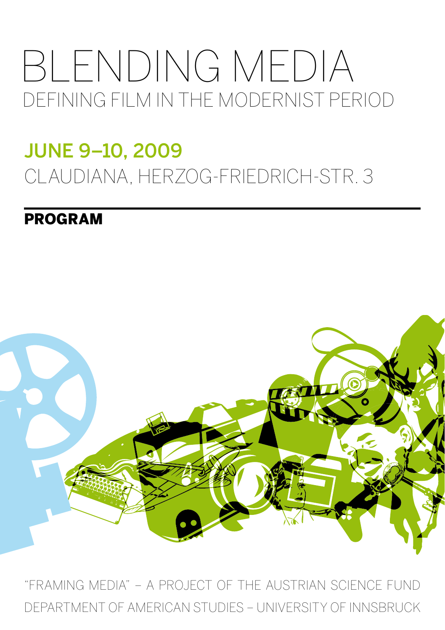# BLENDING MEDIA DEFINING FILM IN THE MODERNIST PERIOD

## JUNe 9–10, 2009 CLAUDIANA, HERZOG-FRIEDRICH-STR. 3

### prograM



"FRAMING MEDIA" – A PROJECT OF THE AUSTRIAN SCIENCE FUND DEPARTMENT OF AMERICAN STUDIES – UNIVERSITY OF INNSBRUCK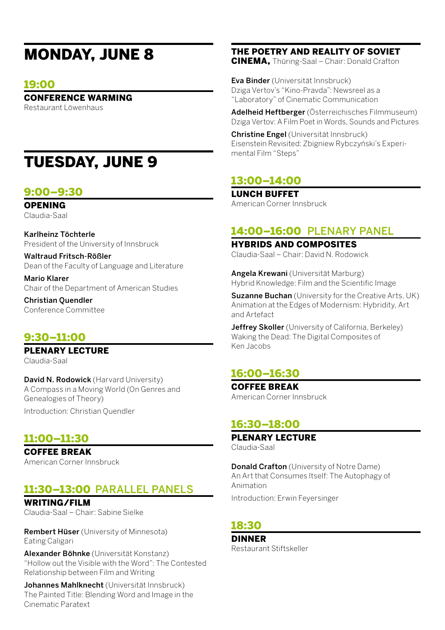## Monday, June 8

#### 19:00

#### Conference Warming

Restaurant Löwenhaus

## Tuesday, June 9

#### 9:00–9:30

**OPENING** 

Claudia-Saal

Karlheinz Töchterle President of the University of Innsbruck

Waltraud Fritsch-Rößler Dean of the Faculty of Language and Literature

Mario Klarer Chair of the Department of American Studies

Christian Quendler Conference Committee

#### 9:30–11:00

Plenary Lecture

Claudia-Saal

David N. Rodowick (Harvard University) A Compass in a Moving World (On Genres and Genealogies of Theory) Introduction: Christian Quendler

#### 11:00–11:30

Coffee Break American Corner Innsbruck

#### 11:30–13:00 parallel panels

WDITING/FILM Claudia-Saal – Chair: Sabine Sielke

Rembert Hüser (University of Minnesota) Eating Caligari

Alexander Böhnke (Universität Konstanz) "Hollow out the Visible with the Word": The Contested Relationship between Film and Writing

Johannes Mahlknecht (Universität Innsbruck) The Painted Title: Blending Word and Image in the Cinematic Paratext

#### The Poetry and Reality of Soviet

CINEMA, Thüring-Saal – Chair: Donald Crafton

Eva Binder (Universität Innsbruck) Dziga Vertov's "Kino-Pravda": Newsreel as a "Laboratory" of Cinematic Communication

Adelheid Heftberger (Österreichisches Filmmuseum) Dziga Vertov: A Film Poet in Words, Sounds and Pictures

Christine Engel (Universität Innsbruck) Eisenstein Revisited: Zbigniew Rybczyński's Experimental Film "Steps"

#### 13:00–14:00

Lunch Buffet American Corner Innsbruck

#### 14:00–16:00 plenary panel

Hybrids and Composites Claudia-Saal – Chair: David N. Rodowick

Angela Krewani (Universität Marburg) Hybrid Knowledge: Film and the Scientific Image

Suzanne Buchan (University for the Creative Arts, UK) Animation at the Edges of Modernism: Hybridity, Art and Artefact

Jeffrey Skoller (University of California, Berkeley) Waking the Dead: The Digital Composites of Ken Jacobs

#### 16:00–16:30

Coffee Break American Corner Innsbruck

#### 16:30–18:00

Plenary Lecture Claudia-Saal

Donald Crafton (University of Notre Dame) An Art that Consumes Itself: The Autophagy of Animation

Introduction: Erwin Feyersinger

#### 18:30

Dinner Restaurant Stiftskeller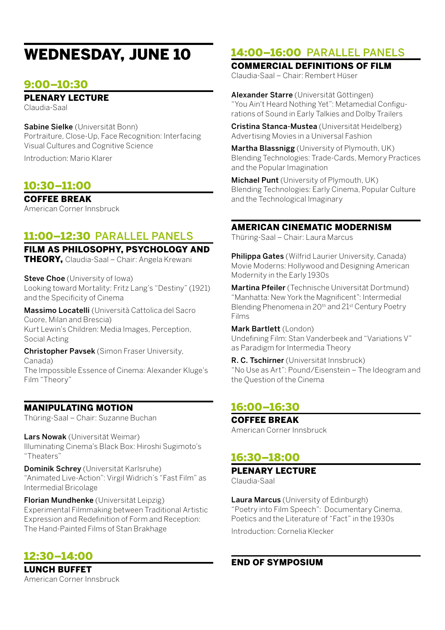## Wednesday, June 10

#### 9:00–10:30

#### Plenary Lecture

Claudia-Saal

Sabine Sielke (Universität Bonn) Portraiture, Close-Up, Face Recognition: Interfacing Visual Cultures and Cognitive Science

Introduction: Mario Klarer

#### 10:30–11:00

Coffee Break American Corner Innsbruck

#### 11:00–12:30 parallel panels

Film as Philosophy, Psychology and THEORY, Claudia-Saal – Chair: Angela Krewani

Steve Choe (University of Iowa) Looking toward Mortality: Fritz Lang's "Destiny" (1921) and the Specificity of Cinema

Massimo Locatelli (Università Cattolica del Sacro Cuore, Milan and Brescia) Kurt Lewin's Children: Media Images, Perception, Social Acting

Christopher Pavsek (Simon Fraser University, Canada) The Impossible Essence of Cinema: Alexander Kluge's Film "Theory"

#### Manipulating Motion

Thüring-Saal – Chair: Suzanne Buchan

Lars Nowak (Universität Weimar) Illuminating Cinema's Black Box: Hiroshi Sugimoto's "Theaters"

Dominik Schrey (Universität Karlsruhe) "Animated Live-Action": Virgil Widrich's "Fast Film" as Intermedial Bricolage

Florian Mundhenke (Universität Leipzig) Experimental Filmmaking between Traditional Artistic Expression and Redefinition of Form and Reception: The Hand-Painted Films of Stan Brakhage

#### 12:30–14:00

Lunch Buffet American Corner Innsbruck

#### 14:00–16:00 parallel panels

Commercial Definitions of Film Claudia-Saal – Chair: Rembert Hüser

Alexander Starre (Universität Göttingen) "You Ain't Heard Nothing Yet": Metamedial Configurations of Sound in Early Talkies and Dolby Trailers

Cristina Stanca-Mustea (Universität Heidelberg) Advertising Movies in a Universal Fashion

Martha Blassnigg (University of Plymouth, UK) Blending Technologies: Trade-Cards, Memory Practices and the Popular Imagination

Michael Punt (University of Plymouth, UK) Blending Technologies: Early Cinema, Popular Culture and the Technological Imaginary

#### American Cinematic Modernism

Thüring-Saal – Chair: Laura Marcus

**Philippa Gates** (Wilfrid Laurier University, Canada) Movie Moderns: Hollywood and Designing American Modernity in the Early 1930s

Martina Pfeiler (Technische Universität Dortmund) "Manhatta: New York the Magnificent": Intermedial Blending Phenomena in 20th and 21st Century Poetry Films

Mark Bartlett (London) Undefining Film: Stan Vanderbeek and "Variations V" as Paradigm for Intermedia Theory

R. C. Tschirner (Universität Innsbruck) "No Use as Art": Pound/Eisenstein – The Ideogram and the Question of the Cinema

#### 16:00–16:30

Coffee Break

American Corner Innsbruck

#### 16:30–18:00

#### PLENARY LECTURE

Claudia-Saal

Laura Marcus (University of Edinburgh) "Poetry into Film Speech": Documentary Cinema, Poetics and the Literature of "Fact" in the 1930s Introduction: Cornelia Klecker

#### End of Symposium